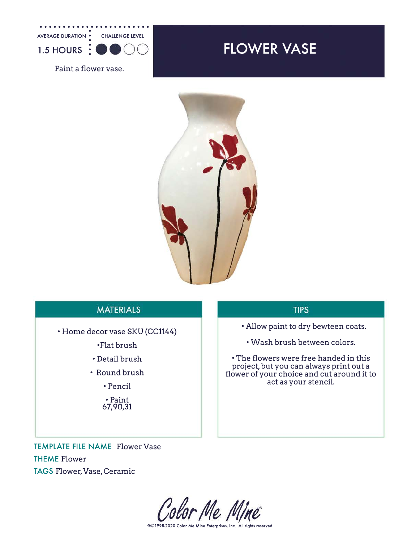

Paint a flower vase.

## FLOWER VASE



## **MATERIALS**

• Home decor vase SKU (CC1144)

•Flat brush

- Detail brush
- Round brush

• Pencil

• Paint 67,90,31

## **TIPS**

- Allow paint to dry bewteen coats.
	- Wash brush between colors.

• The flowers were free handed in this project, but you can always print out a flower of your choice and cut around it to act as your stencil.

TEMPLATE FILE NAME Flower Vase THEME Flower TAGS Flower, Vase, Ceramic

Color Me Mine

®©1998-2020 Color Me Mine Enterprises, Inc. All rights reserved.